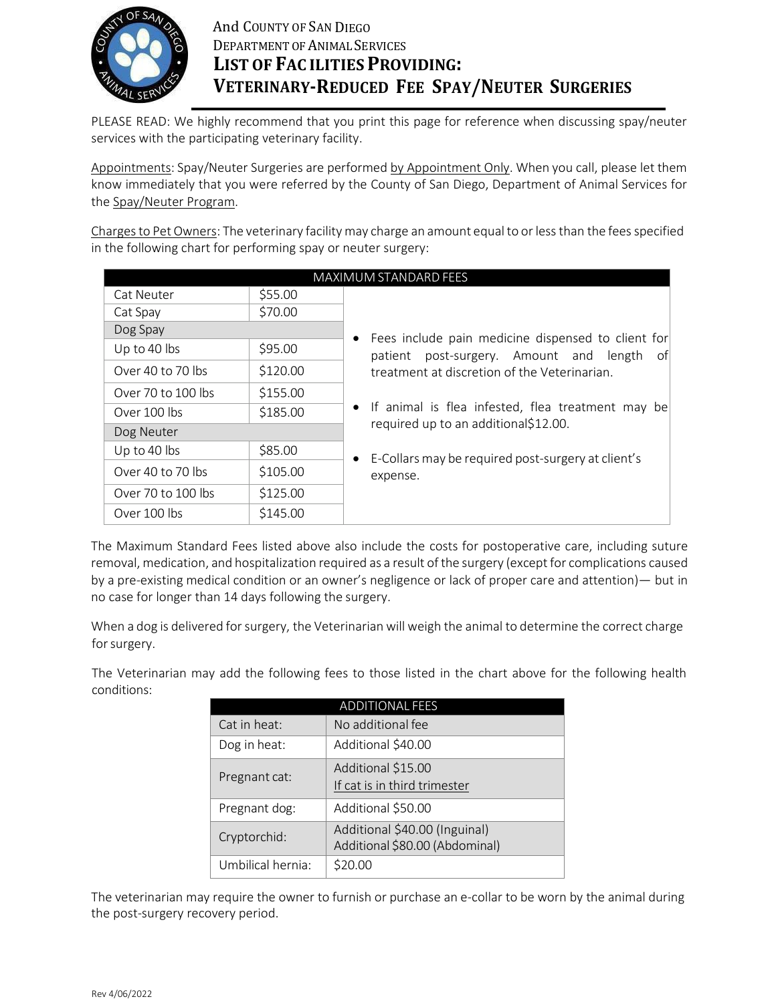

PLEASE READ: We highly recommend that you print this page for reference when discussing spay/neuter services with the participating veterinary facility.

Appointments: Spay/Neuter Surgeries are performed by Appointment Only. When you call, please let them know immediately that you were referred by the County of San Diego, Department of Animal Services for the Spay/Neuter Program.

Charges to Pet Owners: The veterinary facility may charge an amount equal to or less than the fees specified in the following chart for performing spay or neuter surgery:

|                    |          | MAXIMUM STANDARD FEES                                |
|--------------------|----------|------------------------------------------------------|
| <b>Cat Neuter</b>  | \$55.00  |                                                      |
| Cat Spay           | \$70.00  |                                                      |
| Dog Spay           |          | Fees include pain medicine dispensed to client for   |
| Up to 40 lbs       | \$95.00  | patient post-surgery. Amount and length<br>of        |
| Over 40 to 70 lbs  | \$120.00 | treatment at discretion of the Veterinarian.         |
| Over 70 to 100 lbs | \$155.00 |                                                      |
| Over 100 lbs       | \$185.00 | • If animal is flea infested, flea treatment may be  |
| Dog Neuter         |          | required up to an additional\$12.00.                 |
| Up to 40 lbs       | \$85.00  | • E-Collars may be required post-surgery at client's |
| Over 40 to 70 lbs  | \$105.00 | expense.                                             |
| Over 70 to 100 lbs | \$125.00 |                                                      |
| Over 100 lbs       | \$145.00 |                                                      |

The Maximum Standard Fees listed above also include the costs for postoperative care, including suture removal, medication, and hospitalization required as a result of the surgery (except for complications caused by a pre-existing medical condition or an owner's negligence or lack of proper care and attention)— but in no case for longer than 14 days following the surgery.

When a dog is delivered for surgery, the Veterinarian will weigh the animal to determine the correct charge for surgery.

The Veterinarian may add the following fees to those listed in the chart above for the following health conditions:

| <b>ADDITIONAL FEES</b> |                                                                 |  |  |  |  |
|------------------------|-----------------------------------------------------------------|--|--|--|--|
| Cat in heat:           | No additional fee                                               |  |  |  |  |
| Dog in heat:           | Additional \$40.00                                              |  |  |  |  |
| Pregnant cat:          | Additional \$15.00<br>If cat is in third trimester              |  |  |  |  |
| Pregnant dog:          | Additional \$50.00                                              |  |  |  |  |
| Cryptorchid:           | Additional \$40.00 (Inguinal)<br>Additional \$80.00 (Abdominal) |  |  |  |  |
| Umbilical hernia:      | \$20.00                                                         |  |  |  |  |

The veterinarian may require the owner to furnish or purchase an e-collar to be worn by the animal during the post-surgery recovery period.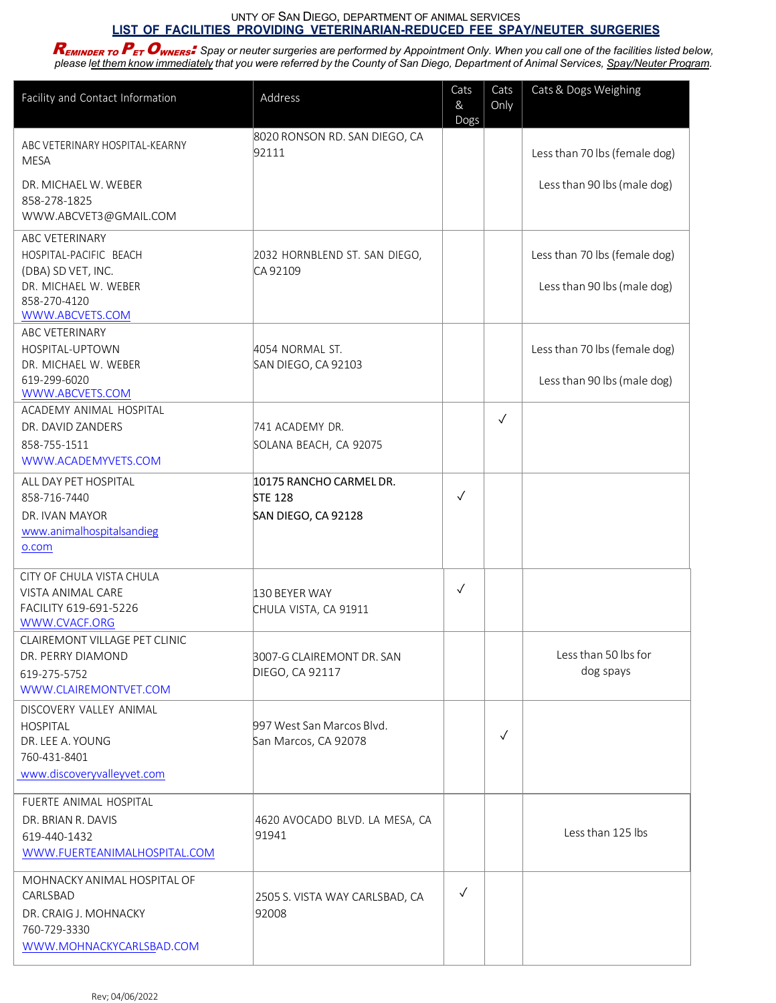## UNTY OF SAN DIEGO, DEPARTMENT OF ANIMAL SERVICES **LIST OF FACILITIES PROVIDING VETERINARIAN-REDUCED FEE SPAY/NEUTER SURGERIES**

 $R_{EMINDER}$  to  $P_{ET}$  Owners. Spay or neuter surgeries are performed by Appointment Only. When you call one of the facilities listed below, please l<u>et them know immediately</u> that you were referred by the County of San Diego, Department of Animal Services, <u>Spay/Neuter Program</u>.

| Facility and Contact Information                                                                                                                                                        | Address                                                                                | Cats<br>&<br>Dogs | Cats<br>Only | Cats & Dogs Weighing                                         |
|-----------------------------------------------------------------------------------------------------------------------------------------------------------------------------------------|----------------------------------------------------------------------------------------|-------------------|--------------|--------------------------------------------------------------|
| ABC VETERINARY HOSPITAL-KEARNY<br><b>MESA</b><br>DR. MICHAEL W. WEBER                                                                                                                   | 8020 RONSON RD. SAN DIEGO, CA<br>92111                                                 |                   |              | Less than 70 lbs (female dog)<br>Less than 90 lbs (male dog) |
| 858-278-1825<br>WWW.ABCVET3@GMAIL.COM                                                                                                                                                   |                                                                                        |                   |              |                                                              |
| ABC VETERINARY<br>HOSPITAL-PACIFIC BEACH<br>(DBA) SD VET, INC.<br>DR. MICHAEL W. WEBER<br>858-270-4120<br>WWW.ABCVETS.COM                                                               | 2032 HORNBLEND ST. SAN DIEGO,<br>CA 92109                                              |                   |              | Less than 70 lbs (female dog)<br>Less than 90 lbs (male dog) |
| <b>ABC VETERINARY</b><br>HOSPITAL-UPTOWN<br>DR. MICHAEL W. WEBER<br>619-299-6020                                                                                                        | 4054 NORMAL ST.<br>SAN DIEGO, CA 92103                                                 |                   |              | Less than 70 lbs (female dog)<br>Less than 90 lbs (male dog) |
| WWW.ABCVETS.COM<br>ACADEMY ANIMAL HOSPITAL<br>DR. DAVID ZANDERS<br>858-755-1511<br>WWW.ACADEMYVETS.COM                                                                                  | 741 ACADEMY DR.<br>SOLANA BEACH, CA 92075                                              |                   | $\checkmark$ |                                                              |
| ALL DAY PET HOSPITAL<br>858-716-7440<br>DR. IVAN MAYOR<br>www.animalhospitalsandieg<br>o.com                                                                                            | 10175 RANCHO CARMEL DR.<br><b>STE 128</b><br>SAN DIEGO, CA 92128                       | √                 |              |                                                              |
| CITY OF CHULA VISTA CHULA<br>VISTA ANIMAL CARE<br>FACILITY 619-691-5226<br>WWW.CVACF.ORG<br>CLAIREMONT VILLAGE PET CLINIC<br>DR. PERRY DIAMOND<br>619-275-5752<br>WWW.CLAIREMONTVET.COM | 130 BEYER WAY<br>CHULA VISTA, CA 91911<br>3007-G CLAIREMONT DR. SAN<br>DIEGO, CA 92117 | $\checkmark$      |              | Less than 50 lbs for<br>dog spays                            |
| DISCOVERY VALLEY ANIMAL<br><b>HOSPITAL</b><br>DR. LEE A. YOUNG<br>760-431-8401<br>www.discoveryvalleyvet.com                                                                            | 997 West San Marcos Blvd.<br>San Marcos, CA 92078                                      |                   | $\checkmark$ |                                                              |
| FUERTE ANIMAL HOSPITAL<br>DR. BRIAN R. DAVIS<br>619-440-1432<br>WWW.FUERTEANIMALHOSPITAL.COM                                                                                            | 4620 AVOCADO BLVD. LA MESA, CA<br>91941                                                |                   |              | Less than 125 lbs                                            |
| MOHNACKY ANIMAL HOSPITAL OF<br>CARLSBAD<br>DR. CRAIG J. MOHNACKY<br>760-729-3330<br>WWW.MOHNACKYCARLSBAD.COM                                                                            | 2505 S. VISTA WAY CARLSBAD, CA<br>92008                                                | $\checkmark$      |              |                                                              |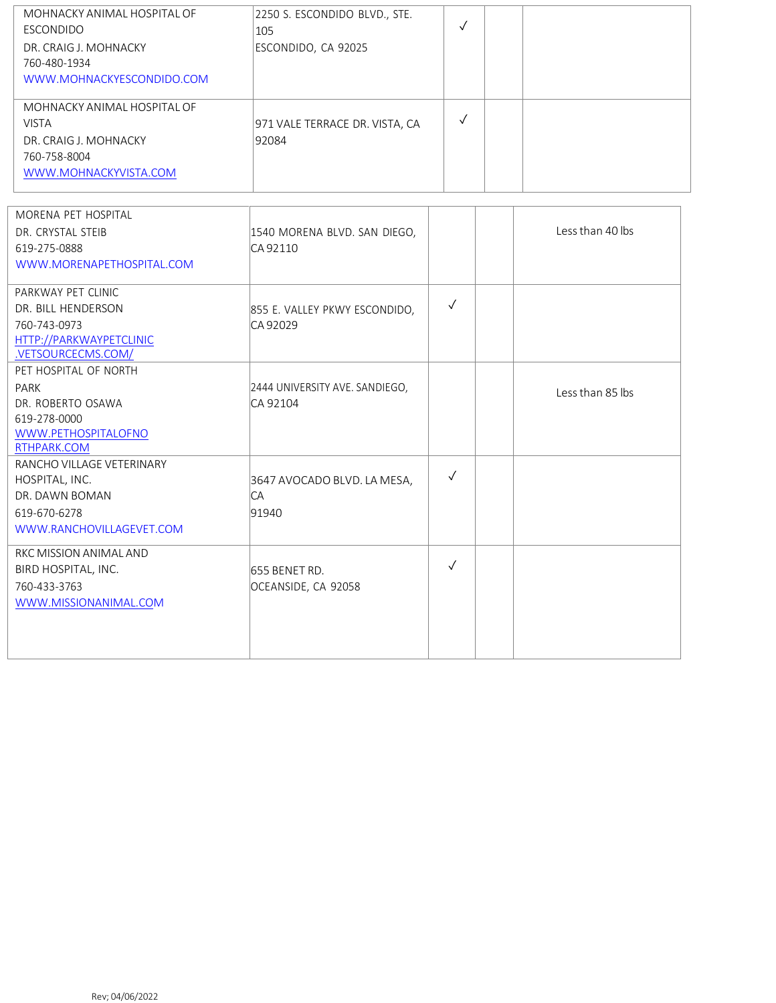| MOHNACKY ANIMAL HOSPITAL OF<br>ESCONDIDO<br>DR. CRAIG J. MOHNACKY<br>760-480-1934<br>WWW.MOHNACKYESCONDIDO.COM | 2250 S. ESCONDIDO BLVD., STE.<br>105<br>ESCONDIDO, CA 92025 |  |  |
|----------------------------------------------------------------------------------------------------------------|-------------------------------------------------------------|--|--|
| MOHNACKY ANIMAL HOSPITAL OF<br><b>VISTA</b><br>DR. CRAIG J. MOHNACKY<br>760-758-8004<br>WWW.MOHNACKYVISTA.COM  | 971 VALE TERRACE DR. VISTA, CA<br>92084                     |  |  |

| MORENA PET HOSPITAL       |                                |              | Less than 40 lbs |
|---------------------------|--------------------------------|--------------|------------------|
| DR. CRYSTAL STEIB         | 1540 MORENA BLVD. SAN DIEGO,   |              |                  |
| 619-275-0888              | CA 92110                       |              |                  |
| WWW.MORENAPETHOSPITAL.COM |                                |              |                  |
| PARKWAY PET CLINIC        |                                |              |                  |
| DR. BILL HENDERSON        | 855 E. VALLEY PKWY ESCONDIDO,  | $\checkmark$ |                  |
| 760-743-0973              | CA 92029                       |              |                  |
| HTTP://PARKWAYPETCLINIC   |                                |              |                  |
| .VETSOURCECMS.COM/        |                                |              |                  |
| PET HOSPITAL OF NORTH     |                                |              |                  |
| PARK                      | 2444 UNIVERSITY AVE. SANDIEGO, |              | Less than 85 lbs |
| DR. ROBERTO OSAWA         | CA 92104                       |              |                  |
| 619-278-0000              |                                |              |                  |
| WWW.PETHOSPITALOFNO       |                                |              |                  |
| RTHPARK.COM               |                                |              |                  |
| RANCHO VILLAGE VETERINARY |                                |              |                  |
| HOSPITAL, INC.            | 3647 AVOCADO BLVD. LA MESA,    | $\checkmark$ |                  |
| DR. DAWN BOMAN            | CA                             |              |                  |
| 619-670-6278              | 91940                          |              |                  |
| WWW.RANCHOVILLAGEVET.COM  |                                |              |                  |
| RKC MISSION ANIMAL AND    |                                |              |                  |
| BIRD HOSPITAL, INC.       | 655 BENET RD.                  | $\checkmark$ |                  |
| 760-433-3763              | OCEANSIDE, CA 92058            |              |                  |
| WWW.MISSIONANIMAL.COM     |                                |              |                  |
|                           |                                |              |                  |
|                           |                                |              |                  |
|                           |                                |              |                  |
|                           |                                |              |                  |